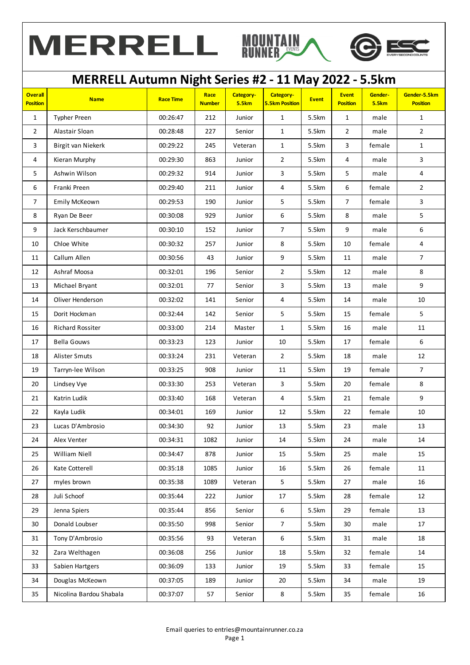





## **Overall Position Name Race Time Race Number Category-5.5km Category-5.5km Position Event Event Position Gender-5.5km Gender-5.5km Position** 1 Typher Preen 00:26:47 212 Junior 1 5.5km 1 male 1 2 Alastair Sloan 00:28:48 227 Senior 1 5.5km 2 male 2 3 | Birgit van Niekerk | 00:29:22 | 245 | Veteran | 1 | 5.5km | 3 | female | 1 4 Kieran Murphy 00:29:30 863 Junior 2 5.5km 4 male 3 5 Ashwin Wilson 00:29:32 914 Junior 3 5.5km 5 male 4 6 Franki Preen 00:29:40 211 Junior 4 5.5km 6 female 2 7 | Emily McKeown | 00:29:53 | 190 | Junior | 5 | 5.5km | 7 | female | 3 8 Ryan De Beer 00:30:08 929 Junior 6 5.5km 8 male 5 9 | Jack Kerschbaumer | 00:30:10 | 152 | Junior | 7 | 5.5km | 9 | male | 6 10 Chloe White 00:30:32 257 Junior 8 5.5km 10 female 4 11 Callum Allen 00:30:56 43 Junior 9 5.5km 11 male 7 12 Ashraf Moosa 00:32:01 196 Senior 2 5.5km 12 male 8 13 | Michael Bryant | 00:32:01 | 77 | Senior | 3 | 5.5km | 13 | male | 9 14 Oliver Henderson 00:32:02 141 Senior 4 5.5km 14 male 10 15 Dorit Hockman 100:32:44 | 142 | Senior | 5 | 5.5km | 15 | female | 5 16 Richard Rossiter 1 00:33:00 214 Master 1 1 5.5km 16 male 11 17 Bella Gouws 00:33:23 123 Junior 10 5.5km 17 female 6 18 Alister Smuts 00:33:24 231 Veteran 2 5.5km 18 male 12 19 | Tarryn-lee Wilson | 00:33:25 | 908 | Junior | 11 | 5.5km | 19 | female | 7 20 | Lindsey Vye | 00:33:30 | 253 | Veteran | 3 | 5.5km | 20 | female | 8 21 Katrin Ludik 00:33:40 168 Veteran 4 5.5km 21 female 9 22 Kayla Ludik 00:34:01 169 Junior 12 5.5km 22 female 10 23 Lucas D'Ambrosio 00:34:30 92 Junior 13 5.5km 23 male 13 24 Alex Venter 00:34:31 1082 Junior 14 5.5km 24 male 14 25 William Niell 00:34:47 878 Junior 15 5.5km 25 male 15 26 Kate Cotterell 00:35:18 1085 Junior 16 5.5km 26 female 11 27 myles brown 00:35:38 1089 Veteran 5 5.5km 27 male 16 28 Juli Schoof 00:35:44 222 Junior 17 5.5km 28 female 12 29 Jenna Spiers 00:35:44 856 Senior 6 5.5km 29 female 13 30 Donald Loubser 00:35:50 998 Senior 7 5.5km 30 male 17 31 | Tony D'Ambrosio | 00:35:56 | 93 | Veteran | 6 | 5.5km | 31 | male | 18 32 Zara Welthagen 14 00:36:08 | 256 | Junior | 18 | 5.5km | 32 | female | 14 33 Sabien Hartgers 15 00:36:09 133 Junior 19 5.5km 33 Female 15 34 Douglas McKeown 1 00:37:05 189 Junior 20 5.5km 34 male 19 35 | Nicolina Bardou Shabala | 00:37:07 | 57 | Senior | 8 | 5.5km | 35 | female | 16 **MERRELL Autumn Night Series #2 - 11 May 2022 - 5.5km**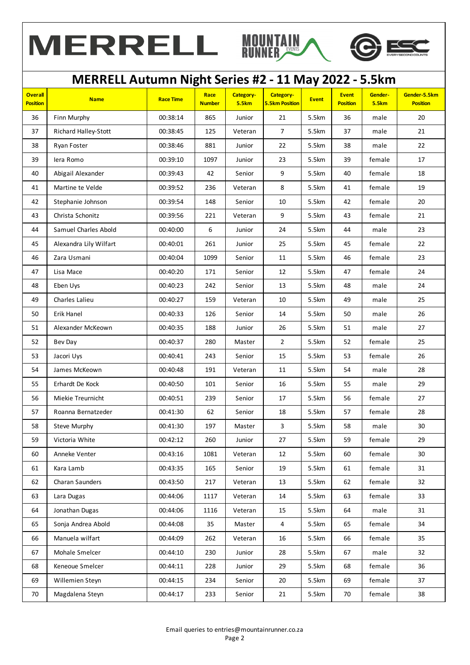





## **Overall Position Name Race Time Race Number Category-5.5km Category-5.5km Position Event Event Position Gender-5.5km Gender-5.5km Position MERRELL Autumn Night Series #2 - 11 May 2022 - 5.5km** 36 Finn Murphy 00:38:14 865 Junior 21 5.5km 36 male 20 37 Richard Halley-Stott | 00:38:45 | 125 | Veteran | 7 | 5.5km | 37 | male | 21 38 Ryan Foster 00:38:46 881 Junior 22 5.5km 38 male 22 39 Iera Romo 00:39:10 1097 Junior 23 5.5km 39 female 17 40 Abigail Alexander | 00:39:43 | 42 | Senior | 9 | 5.5km | 40 | female | 18 41 | Martine te Velde | 00:39:52 | 236 | Veteran | 8 | 5.5km | 41 | female | 19 42 Stephanie Johnson | 00:39:54 | 148 | Senior | 10 | 5.5km | 42 | female | 20 43 Christa Schonitz 00:39:56 221 Veteran 9 5.5km 43 female 21 44 Samuel Charles Abold | 00:40:00 | 6 | Junior | 24 | 5.5km | 44 | male | 23 45 Alexandra Lily Wilfart | 00:40:01 | 261 | Junior | 25 | 5.5km | 45 | female | 22 46 Zara Usmani 00:40:04 1099 Senior 11 5.5km 46 female 23 47 Lisa Mace 00:40:20 171 Senior 12 5.5km 47 female 24 48 Eben Uys 00:40:23 242 Senior 13 5.5km 48 male 24 49 Charles Lalieu 00:40:27 159 Veteran 10 5.5km 49 male 25 50 Erik Hanel 00:40:33 126 Senior 14 5.5km 50 male 26 51 | Alexander McKeown | 00:40:35 | 188 | Junior | 26 | 5.5km | 51 | male | 27 52 Bev Day 00:40:37 280 Master 2 5.5km 52 female 25 53 Jacori Uys 00:40:41 243 Senior 15 5.5km 53 female 26 54 James McKeown 00:40:48 191 Veteran 11 5.5km 54 male 28 55 Erhardt De Kock 00:40:50 101 Senior 16 5.5km 55 male 29 56 Miekie Treurnicht 00:40:51 239 Senior 17 5.5km 56 female 27 57 Roanna Bernatzeder | 00:41:30 | 62 | Senior | 18 | 5.5km | 57 | female | 28 58 Steve Murphy 00:41:30 197 Master 3 5.5km 58 male 30 59 Victoria White 00:42:12 260 Junior 27 5.5km 59 female 29 60 | Anneke Venter | 00:43:16 | 1081 | Veteran | 12 | 5.5km | 60 | female | 30 61 Kara Lamb 00:43:35 165 Senior 19 5.5km 61 female 31 62 Charan Saunders 100:43:50 217 Veteran 13 5.5km 62 Female 32 63 Lara Dugas 00:44:06 1117 Veteran 14 5.5km 63 female 33 64 Jonathan Dugas | 00:44:06 | 1116 | Veteran | 15 | 5.5km | 64 | male | 31 65 Sonja Andrea Abold 00:44:08 35 Master 4 5.5km 65 female 34 66 Manuela wilfart 00:44:09 262 Veteran 16 5.5km 66 female 35 67 Mohale Smelcer 00:44:10 230 Junior 28 5.5km 67 male 32 68 | Keneoue Smelcer | 00:44:11 | 228 | Junior | 29 | 5.5km | 68 | female | 36 69 Willemien Steyn 00:44:15 234 Senior 20 5.5km 69 female 37 70 | Magdalena Steyn | 00:44:17 | 233 | Senior | 21 | 5.5km | 70 | female | 38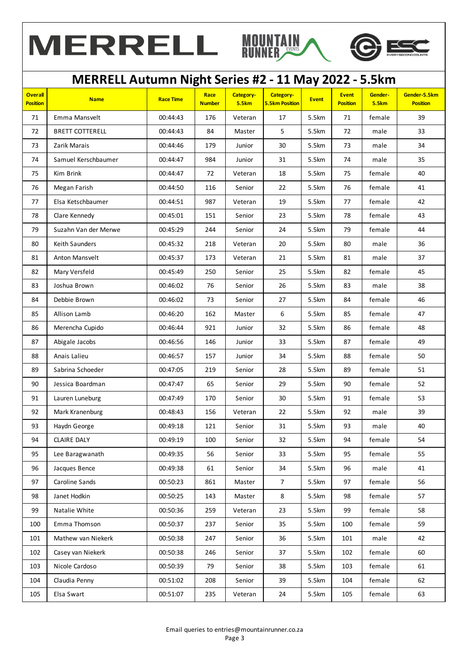



## **Overall Position Name Race Time Race Number Category-5.5km Category-5.5km Position Event Event Position Gender-5.5km Gender-5.5km Position MERRELL Autumn Night Series #2 - 11 May 2022 - 5.5km** 71 Emma Mansvelt 00:44:43 176 Veteran 17 5.5km 71 female 39 72 | BRETT COTTERELL | 00:44:43 | 84 | Master | 5 | 5.5km | 72 | male | 33 73 Zarik Marais 00:44:46 179 Junior 30 5.5km 73 male 34 74 Samuel Kerschbaumer | 00:44:47 | 984 | Junior | 31 | 5.5km | 74 | male | 35 75 Kim Brink 00:44:47 72 Veteran 18 5.5km 75 female 40 76 Megan Farish 00:44:50 116 Senior 22 5.5km 76 female 41 77 | Elsa Ketschbaumer | 00:44:51 | 987 | Veteran | 19 | 5.5km | 77 | female | 42 78 Clare Kennedy 00:45:01 151 Senior 23 5.5km 78 female 43 79 Suzahn Van der Merwe 00:45:29 244 Senior 24 5.5km 79 female 44 80 | Keith Saunders | 00:45:32 | 218 | Veteran | 20 | 5.5km | 80 | male | 36 81 Anton Mansvelt 00:45:37 173 Veteran 21 5.5km 81 male 37 82 | Mary Versfeld | 00:45:49 | 250 | Senior | 25 | 5.5km | 82 | female | 45 83 Joshua Brown 00:46:02 76 Senior 26 5.5km 83 male 38 84 Debbie Brown 00:46:02 73 Senior 27 5.5km 84 female 46 85 Allison Lamb 00:46:20 162 Master 6 5.5km 85 female 47 86 | Merencha Cupido | 00:46:44 | 921 | Junior | 32 | 5.5km | 86 | female | 48 87 Abigale Jacobs 100:46:56 | 146 | Junior | 33 | 5.5km | 87 | female | 49 88 Anais Lalieu 00:46:57 157 Junior 34 5.5km 88 female 50 89 | Sabrina Schoeder | 00:47:05 | 219 | Senior | 28 | 5.5km | 89 | female | 51 90 Jessica Boardman 00:47:47 65 Senior 29 5.5km 90 female 52 91 | Lauren Luneburg | 00:47:49 | 170 | Senior | 30 | 5.5km | 91 | female | 53 92 | Mark Kranenburg | 00:48:43 | 156 | Veteran | 22 | 5.5km | 92 | male | 39 93 Haydn George 00:49:18 121 Senior 31 5.5km 93 male 40 94 CLAIRE DALY 00:49:19 100 Senior 32 5.5km 94 female 54 95 Lee Baragwanath 1 00:49:35 | 56 | Senior | 33 | 5.5km | 95 | female | 55 96 Jacques Bence 00:49:38 61 Senior 34 5.5km 96 male 41 97 Caroline Sands 00:50:23 861 Master 7 5.5km 97 female 56 98 Janet Hodkin 00:50:25 143 Master 8 5.5km 98 female 57 99 Natalie White 00:50:36 259 Veteran 23 5.5km 99 female 58 100 Emma Thomson 00:50:37 237 Senior 35 5.5km 100 female 59 101 | Mathew van Niekerk | 00:50:38 | 247 | Senior | 36 | 5.5km | 101 | male | 42 102 | Casey van Niekerk | 00:50:38 | 246 | Senior | 37 | 5.5km | 102 | female | 60 103 Nicole Cardoso 00:50:39 79 Senior 38 5.5km 103 female 61 104 | Claudia Penny | 00:51:02 | 208 | Senior | 39 | 5.5km | 104 | female | 62 105 Elsa Swart 00:51:07 235 Veteran 24 5.5km 105 female 63